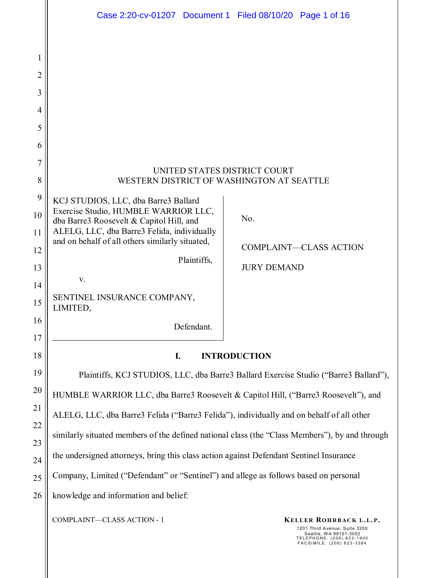| 1<br>2<br>3<br>$\overline{4}$<br>5<br>6<br>7<br>UNITED STATES DISTRICT COURT<br>8<br>WESTERN DISTRICT OF WASHINGTON AT SEATTLE                                                                                                                                                       | Case 2:20-cv-01207 Document 1 Filed 08/10/20 Page 1 of 16                                                                                                                                                                                                              |  |  |
|--------------------------------------------------------------------------------------------------------------------------------------------------------------------------------------------------------------------------------------------------------------------------------------|------------------------------------------------------------------------------------------------------------------------------------------------------------------------------------------------------------------------------------------------------------------------|--|--|
|                                                                                                                                                                                                                                                                                      |                                                                                                                                                                                                                                                                        |  |  |
| 9                                                                                                                                                                                                                                                                                    |                                                                                                                                                                                                                                                                        |  |  |
| KCJ STUDIOS, LLC, dba Barre3 Ballard<br>Exercise Studio, HUMBLE WARRIOR LLC,<br>10<br>No.<br>dba Barre3 Roosevelt & Capitol Hill, and<br>ALELG, LLC, dba Barre3 Felida, individually<br>11<br>and on behalf of all others similarly situated,<br><b>COMPLAINT-CLASS ACTION</b><br>12 |                                                                                                                                                                                                                                                                        |  |  |
| Plaintiffs,<br><b>JURY DEMAND</b><br>13<br>V.<br>14                                                                                                                                                                                                                                  |                                                                                                                                                                                                                                                                        |  |  |
| SENTINEL INSURANCE COMPANY,<br>15<br>LIMITED,                                                                                                                                                                                                                                        |                                                                                                                                                                                                                                                                        |  |  |
| 16<br>Defendant.<br>17                                                                                                                                                                                                                                                               |                                                                                                                                                                                                                                                                        |  |  |
| <b>INTRODUCTION</b><br>I.                                                                                                                                                                                                                                                            |                                                                                                                                                                                                                                                                        |  |  |
| 19                                                                                                                                                                                                                                                                                   | Plaintiffs, KCJ STUDIOS, LLC, dba Barre3 Ballard Exercise Studio ("Barre3 Ballard"),<br>HUMBLE WARRIOR LLC, dba Barre3 Roosevelt & Capitol Hill, ("Barre3 Roosevelt"), and<br>ALELG, LLC, dba Barre3 Felida ("Barre3 Felida"), individually and on behalf of all other |  |  |
| 20                                                                                                                                                                                                                                                                                   |                                                                                                                                                                                                                                                                        |  |  |
| 21<br>22                                                                                                                                                                                                                                                                             |                                                                                                                                                                                                                                                                        |  |  |
| similarly situated members of the defined national class (the "Class Members"), by and through<br>23                                                                                                                                                                                 |                                                                                                                                                                                                                                                                        |  |  |
| 24                                                                                                                                                                                                                                                                                   | the undersigned attorneys, bring this class action against Defendant Sentinel Insurance                                                                                                                                                                                |  |  |
| 25                                                                                                                                                                                                                                                                                   | Company, Limited ("Defendant" or "Sentinel") and allege as follows based on personal                                                                                                                                                                                   |  |  |
| 26<br>knowledge and information and belief:                                                                                                                                                                                                                                          |                                                                                                                                                                                                                                                                        |  |  |
| COMPLAINT-CLASS ACTION - 1<br>1201 Third Avenue, Suite 3200<br>Seattle, WA 98101-3052<br>TELEPHONE: (206) 623-1900<br>FACSIMILE: (206) 623-3384                                                                                                                                      | KELLER ROHRBACK L.L.P.                                                                                                                                                                                                                                                 |  |  |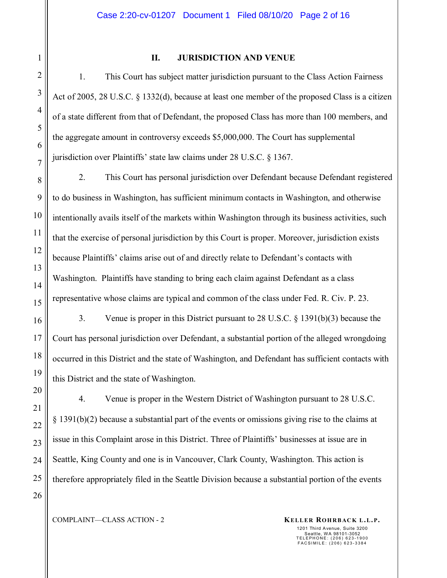#### **II. JURISDICTION AND VENUE**

1. This Court has subject matter jurisdiction pursuant to the Class Action Fairness Act of 2005, 28 U.S.C. § 1332(d), because at least one member of the proposed Class is a citizen of a state different from that of Defendant, the proposed Class has more than 100 members, and the aggregate amount in controversy exceeds \$5,000,000. The Court has supplemental jurisdiction over Plaintiffs' state law claims under 28 U.S.C. § 1367.

2. This Court has personal jurisdiction over Defendant because Defendant registered to do business in Washington, has sufficient minimum contacts in Washington, and otherwise intentionally avails itself of the markets within Washington through its business activities, such that the exercise of personal jurisdiction by this Court is proper. Moreover, jurisdiction exists because Plaintiffs' claims arise out of and directly relate to Defendant's contacts with Washington. Plaintiffs have standing to bring each claim against Defendant as a class representative whose claims are typical and common of the class under Fed. R. Civ. P. 23.

3. Venue is proper in this District pursuant to 28 U.S.C. § 1391(b)(3) because the Court has personal jurisdiction over Defendant, a substantial portion of the alleged wrongdoing occurred in this District and the state of Washington, and Defendant has sufficient contacts with this District and the state of Washington.

4. Venue is proper in the Western District of Washington pursuant to 28 U.S.C. § 1391(b)(2) because a substantial part of the events or omissions giving rise to the claims at issue in this Complaint arose in this District. Three of Plaintiffs' businesses at issue are in Seattle, King County and one is in Vancouver, Clark County, Washington. This action is therefore appropriately filed in the Seattle Division because a substantial portion of the events

COMPLAINT—CLASS ACTION - 2 **KELLER ROHRBACK L.L.P.**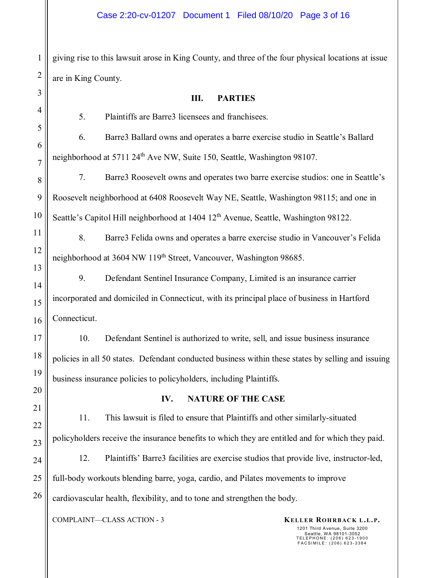giving rise to this lawsuit arose in King County, and three of the four physical locations at issue are in King County.

# **III. PARTIES**

5. Plaintiffs are Barre3 licensees and franchisees.

6. Barre3 Ballard owns and operates a barre exercise studio in Seattle's Ballard neighborhood at 5711 24th Ave NW, Suite 150, Seattle, Washington 98107.

7. Barre3 Roosevelt owns and operates two barre exercise studios: one in Seattle's Roosevelt neighborhood at 6408 Roosevelt Way NE, Seattle, Washington 98115; and one in Seattle's Capitol Hill neighborhood at 1404 12<sup>th</sup> Avenue, Seattle, Washington 98122.

8. Barre3 Felida owns and operates a barre exercise studio in Vancouver's Felida neighborhood at 3604 NW 119<sup>th</sup> Street, Vancouver, Washington 98685.

9. Defendant Sentinel Insurance Company, Limited is an insurance carrier incorporated and domiciled in Connecticut, with its principal place of business in Hartford Connecticut.

10. Defendant Sentinel is authorized to write, sell, and issue business insurance policies in all 50 states. Defendant conducted business within these states by selling and issuing business insurance policies to policyholders, including Plaintiffs.

## **IV. NATURE OF THE CASE**

11. This lawsuit is filed to ensure that Plaintiffs and other similarly-situated policyholders receive the insurance benefits to which they are entitled and for which they paid.

12. Plaintiffs' Barre3 facilities are exercise studios that provide live, instructor-led, full-body workouts blending barre, yoga, cardio, and Pilates movements to improve cardiovascular health, flexibility, and to tone and strengthen the body.

COMPLAINT—CLASS ACTION - 3 **KELLER ROHRBACK L.L.P.**

1201 Third Avenue, Suite 3200 Seattle, WA 98101-3052 TELEPHONE: (206) 623-1900 FACSIMILE: (206) 623-3384

1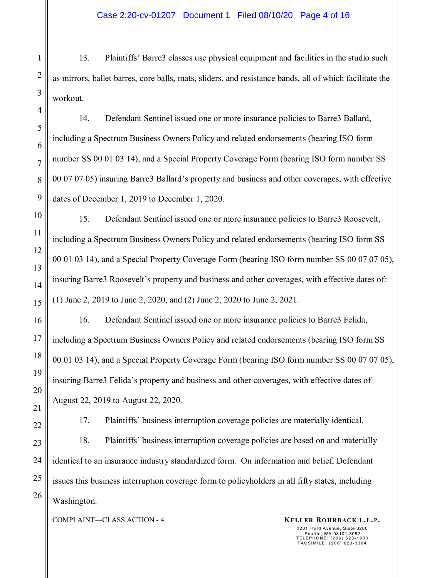13. Plaintiffs' Barre3 classes use physical equipment and facilities in the studio such as mirrors, ballet barres, core balls, mats, sliders, and resistance bands, all of which facilitate the workout.

14. Defendant Sentinel issued one or more insurance policies to Barre3 Ballard, including a Spectrum Business Owners Policy and related endorsements (bearing ISO form number SS 00 01 03 14), and a Special Property Coverage Form (bearing ISO form number SS 00 07 07 05) insuring Barre3 Ballard's property and business and other coverages, with effective dates of December 1, 2019 to December 1, 2020.

15. Defendant Sentinel issued one or more insurance policies to Barre3 Roosevelt, including a Spectrum Business Owners Policy and related endorsements (bearing ISO form SS 00 01 03 14), and a Special Property Coverage Form (bearing ISO form number SS 00 07 07 05), insuring Barre3 Roosevelt's property and business and other coverages, with effective dates of: (1) June 2, 2019 to June 2, 2020, and (2) June 2, 2020 to June 2, 2021.

16. Defendant Sentinel issued one or more insurance policies to Barre3 Felida, including a Spectrum Business Owners Policy and related endorsements (bearing ISO form SS 00 01 03 14), and a Special Property Coverage Form (bearing ISO form number SS 00 07 07 05), insuring Barre3 Felida's property and business and other coverages, with effective dates of August 22, 2019 to August 22, 2020.

17. Plaintiffs' business interruption coverage policies are materially identical.

18. Plaintiffs' business interruption coverage policies are based on and materially identical to an insurance industry standardized form. On information and belief, Defendant issues this business interruption coverage form to policyholders in all fifty states, including Washington.

COMPLAINT—CLASS ACTION - 4 **KELLER ROHRBACK L.L.P.**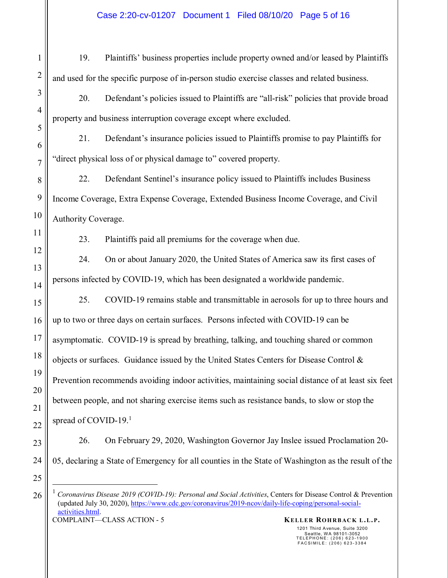19. Plaintiffs' business properties include property owned and/or leased by Plaintiffs and used for the specific purpose of in-person studio exercise classes and related business.

1

2

3

4

5

6

7

8

9

10

11

12

13

14

15

16

17

18

19

20

21

22

23

24

25

26

20. Defendant's policies issued to Plaintiffs are "all-risk" policies that provide broad property and business interruption coverage except where excluded.

21. Defendant's insurance policies issued to Plaintiffs promise to pay Plaintiffs for "direct physical loss of or physical damage to" covered property.

22. Defendant Sentinel's insurance policy issued to Plaintiffs includes Business Income Coverage, Extra Expense Coverage, Extended Business Income Coverage, and Civil Authority Coverage.

23. Plaintiffs paid all premiums for the coverage when due.

24. On or about January 2020, the United States of America saw its first cases of persons infected by COVID-19, which has been designated a worldwide pandemic.

25. COVID-19 remains stable and transmittable in aerosols for up to three hours and up to two or three days on certain surfaces. Persons infected with COVID-19 can be asymptomatic. COVID-19 is spread by breathing, talking, and touching shared or common objects or surfaces. Guidance issued by the United States Centers for Disease Control  $\&$ Prevention recommends avoiding indoor activities, maintaining social distance of at least six feet between people, and not sharing exercise items such as resistance bands, to slow or stop the spread of COVID-19.<sup>1</sup>

26. On February 29, 2020, Washington Governor Jay Inslee issued Proclamation 20- 05, declaring a State of Emergency for all counties in the State of Washington as the result of the

COMPLAINT—CLASS ACTION - 5 **KELLER ROHRBACK L.L.P.** <sup>1</sup> *Coronavirus Disease 2019 (COVID-19): Personal and Social Activities*, Centers for Disease Control & Prevention (updated July 30, 2020), https://www.cdc.gov/coronavirus/2019-ncov/daily-life-coping/personal-socialactivities.html.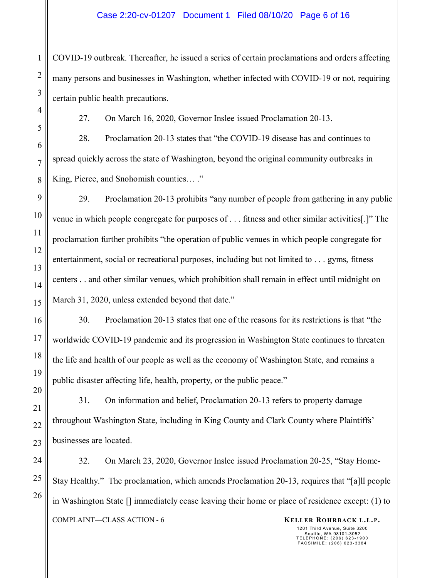COVID-19 outbreak. Thereafter, he issued a series of certain proclamations and orders affecting many persons and businesses in Washington, whether infected with COVID-19 or not, requiring certain public health precautions.

27. On March 16, 2020, Governor Inslee issued Proclamation 20-13.

28. Proclamation 20-13 states that "the COVID-19 disease has and continues to spread quickly across the state of Washington, beyond the original community outbreaks in King, Pierce, and Snohomish counties… ."

29. Proclamation 20-13 prohibits "any number of people from gathering in any public venue in which people congregate for purposes of . . . fitness and other similar activities[.]" The proclamation further prohibits "the operation of public venues in which people congregate for entertainment, social or recreational purposes, including but not limited to . . . gyms, fitness centers . . and other similar venues, which prohibition shall remain in effect until midnight on March 31, 2020, unless extended beyond that date."

30. Proclamation 20-13 states that one of the reasons for its restrictions is that "the worldwide COVID-19 pandemic and its progression in Washington State continues to threaten the life and health of our people as well as the economy of Washington State, and remains a public disaster affecting life, health, property, or the public peace."

31. On information and belief, Proclamation 20-13 refers to property damage throughout Washington State, including in King County and Clark County where Plaintiffs' businesses are located.

COMPLAINT—CLASS ACTION - 6 **KELLER ROHRBACK L.L.P.** 32. On March 23, 2020, Governor Inslee issued Proclamation 20-25, "Stay Home-Stay Healthy." The proclamation, which amends Proclamation 20-13, requires that "[a]ll people in Washington State [] immediately cease leaving their home or place of residence except: (1) to

1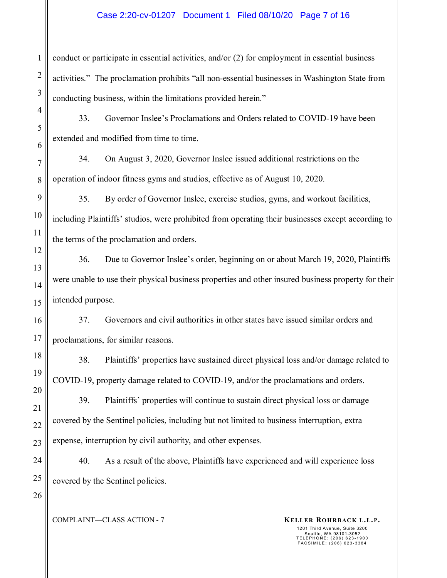#### Case 2:20-cv-01207 Document 1 Filed 08/10/20 Page 7 of 16

conduct or participate in essential activities, and/or (2) for employment in essential business activities." The proclamation prohibits "all non-essential businesses in Washington State from conducting business, within the limitations provided herein."

33. Governor Inslee's Proclamations and Orders related to COVID-19 have been extended and modified from time to time.

34. On August 3, 2020, Governor Inslee issued additional restrictions on the operation of indoor fitness gyms and studios, effective as of August 10, 2020.

35. By order of Governor Inslee, exercise studios, gyms, and workout facilities, including Plaintiffs' studios, were prohibited from operating their businesses except according to the terms of the proclamation and orders.

36. Due to Governor Inslee's order, beginning on or about March 19, 2020, Plaintiffs were unable to use their physical business properties and other insured business property for their intended purpose.

37. Governors and civil authorities in other states have issued similar orders and proclamations, for similar reasons.

38. Plaintiffs' properties have sustained direct physical loss and/or damage related to COVID-19, property damage related to COVID-19, and/or the proclamations and orders.

39. Plaintiffs' properties will continue to sustain direct physical loss or damage covered by the Sentinel policies, including but not limited to business interruption, extra expense, interruption by civil authority, and other expenses.

40. As a result of the above, Plaintiffs have experienced and will experience loss covered by the Sentinel policies.

COMPLAINT—CLASS ACTION - 7 **KELLER ROHRBACK L.L.P.**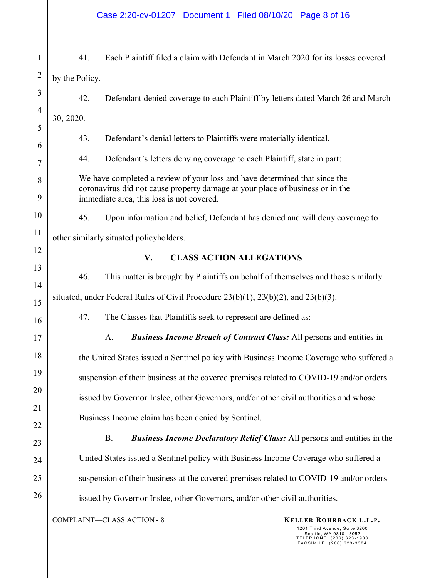#### Case 2:20-cv-01207 Document 1 Filed 08/10/20 Page 8 of 16

COMPLAINT—CLASS ACTION - 8 **KELLER ROHRBACK L.L.P.** 1201 Third Avenue, Suite 3200 Seattle, WA 98101-3052 TELEPHONE: (206) 623-1900 FACSIMILE: (206) 623-3384 1 2 3 4 5 6 7 8 9 10 11 12 13 14 15 16 17 18 19 20 21 22 23 24 25 26 41. Each Plaintiff filed a claim with Defendant in March 2020 for its losses covered by the Policy. 42. Defendant denied coverage to each Plaintiff by letters dated March 26 and March 30, 2020. 43. Defendant's denial letters to Plaintiffs were materially identical. 44. Defendant's letters denying coverage to each Plaintiff, state in part: We have completed a review of your loss and have determined that since the coronavirus did not cause property damage at your place of business or in the immediate area, this loss is not covered. 45. Upon information and belief, Defendant has denied and will deny coverage to other similarly situated policyholders. **V. CLASS ACTION ALLEGATIONS**  46. This matter is brought by Plaintiffs on behalf of themselves and those similarly situated, under Federal Rules of Civil Procedure 23(b)(1), 23(b)(2), and 23(b)(3). 47. The Classes that Plaintiffs seek to represent are defined as: A. *Business Income Breach of Contract Class:* All persons and entities in the United States issued a Sentinel policy with Business Income Coverage who suffered a suspension of their business at the covered premises related to COVID-19 and/or orders issued by Governor Inslee, other Governors, and/or other civil authorities and whose Business Income claim has been denied by Sentinel. B. *Business Income Declaratory Relief Class:* All persons and entities in the United States issued a Sentinel policy with Business Income Coverage who suffered a suspension of their business at the covered premises related to COVID-19 and/or orders issued by Governor Inslee, other Governors, and/or other civil authorities.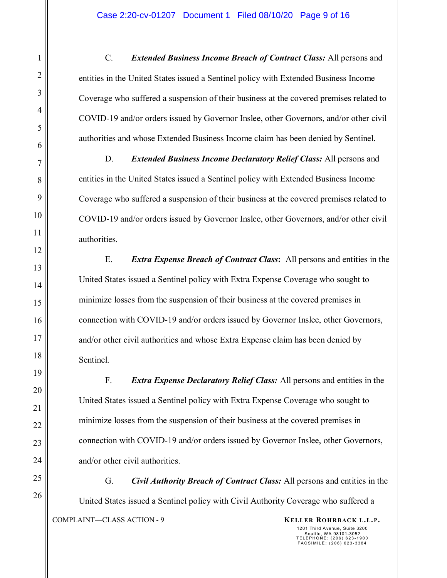C. *Extended Business Income Breach of Contract Class:* All persons and entities in the United States issued a Sentinel policy with Extended Business Income Coverage who suffered a suspension of their business at the covered premises related to COVID-19 and/or orders issued by Governor Inslee, other Governors, and/or other civil authorities and whose Extended Business Income claim has been denied by Sentinel.

D. *Extended Business Income Declaratory Relief Class:* All persons and entities in the United States issued a Sentinel policy with Extended Business Income Coverage who suffered a suspension of their business at the covered premises related to COVID-19 and/or orders issued by Governor Inslee, other Governors, and/or other civil authorities.

E. *Extra Expense Breach of Contract Class***:** All persons and entities in the United States issued a Sentinel policy with Extra Expense Coverage who sought to minimize losses from the suspension of their business at the covered premises in connection with COVID-19 and/or orders issued by Governor Inslee, other Governors, and/or other civil authorities and whose Extra Expense claim has been denied by Sentinel.

F. *Extra Expense Declaratory Relief Class:* All persons and entities in the United States issued a Sentinel policy with Extra Expense Coverage who sought to minimize losses from the suspension of their business at the covered premises in connection with COVID-19 and/or orders issued by Governor Inslee, other Governors, and/or other civil authorities.

COMPLAINT—CLASS ACTION - 9 **KELLER ROHRBACK L.L.P.** G. *Civil Authority Breach of Contract Class:* All persons and entities in the United States issued a Sentinel policy with Civil Authority Coverage who suffered a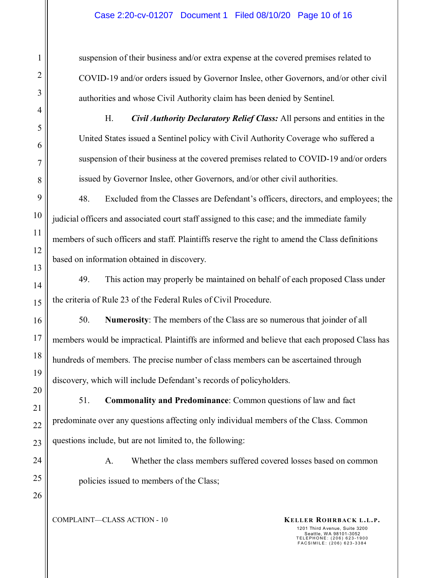suspension of their business and/or extra expense at the covered premises related to COVID-19 and/or orders issued by Governor Inslee, other Governors, and/or other civil authorities and whose Civil Authority claim has been denied by Sentinel.

H. *Civil Authority Declaratory Relief Class:* All persons and entities in the United States issued a Sentinel policy with Civil Authority Coverage who suffered a suspension of their business at the covered premises related to COVID-19 and/or orders issued by Governor Inslee, other Governors, and/or other civil authorities.

48. Excluded from the Classes are Defendant's officers, directors, and employees; the judicial officers and associated court staff assigned to this case; and the immediate family members of such officers and staff. Plaintiffs reserve the right to amend the Class definitions based on information obtained in discovery.

49. This action may properly be maintained on behalf of each proposed Class under the criteria of Rule 23 of the Federal Rules of Civil Procedure.

50. **Numerosity**: The members of the Class are so numerous that joinder of all members would be impractical. Plaintiffs are informed and believe that each proposed Class has hundreds of members. The precise number of class members can be ascertained through discovery, which will include Defendant's records of policyholders.

51. **Commonality and Predominance**: Common questions of law and fact predominate over any questions affecting only individual members of the Class. Common questions include, but are not limited to, the following:

A. Whether the class members suffered covered losses based on common policies issued to members of the Class;

COMPLAINT—CLASS ACTION - 10 **KELLER ROHRBACK L.L.P.**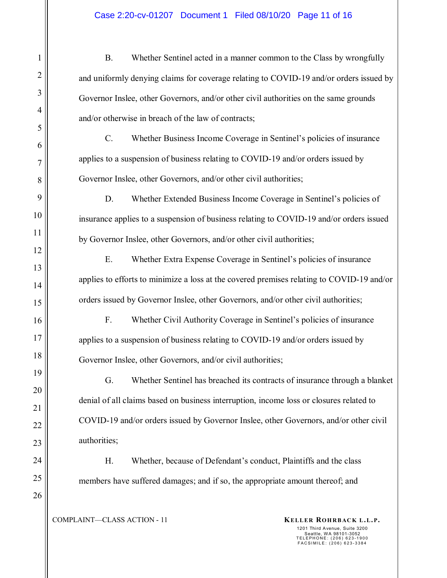B. Whether Sentinel acted in a manner common to the Class by wrongfully and uniformly denying claims for coverage relating to COVID-19 and/or orders issued by Governor Inslee, other Governors, and/or other civil authorities on the same grounds and/or otherwise in breach of the law of contracts;

C. Whether Business Income Coverage in Sentinel's policies of insurance applies to a suspension of business relating to COVID-19 and/or orders issued by Governor Inslee, other Governors, and/or other civil authorities;

D. Whether Extended Business Income Coverage in Sentinel's policies of insurance applies to a suspension of business relating to COVID-19 and/or orders issued by Governor Inslee, other Governors, and/or other civil authorities;

E. Whether Extra Expense Coverage in Sentinel's policies of insurance applies to efforts to minimize a loss at the covered premises relating to COVID-19 and/or orders issued by Governor Inslee, other Governors, and/or other civil authorities;

F. Whether Civil Authority Coverage in Sentinel's policies of insurance applies to a suspension of business relating to COVID-19 and/or orders issued by Governor Inslee, other Governors, and/or civil authorities;

G. Whether Sentinel has breached its contracts of insurance through a blanket denial of all claims based on business interruption, income loss or closures related to COVID-19 and/or orders issued by Governor Inslee, other Governors, and/or other civil authorities;

H. Whether, because of Defendant's conduct, Plaintiffs and the class members have suffered damages; and if so, the appropriate amount thereof; and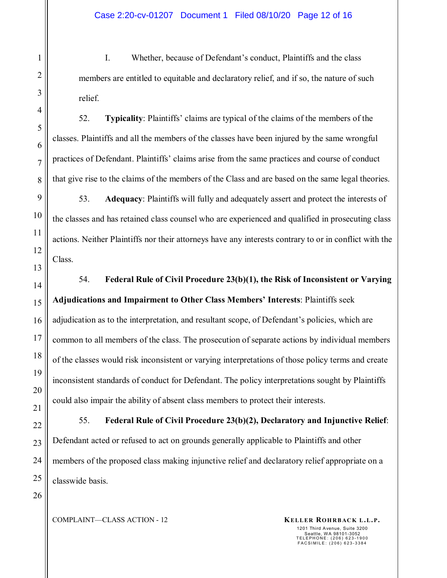I. Whether, because of Defendant's conduct, Plaintiffs and the class members are entitled to equitable and declaratory relief, and if so, the nature of such relief.

52. **Typicality**: Plaintiffs' claims are typical of the claims of the members of the classes. Plaintiffs and all the members of the classes have been injured by the same wrongful practices of Defendant. Plaintiffs' claims arise from the same practices and course of conduct that give rise to the claims of the members of the Class and are based on the same legal theories.

53. **Adequacy**: Plaintiffs will fully and adequately assert and protect the interests of the classes and has retained class counsel who are experienced and qualified in prosecuting class actions. Neither Plaintiffs nor their attorneys have any interests contrary to or in conflict with the Class.

54. **Federal Rule of Civil Procedure 23(b)(1), the Risk of Inconsistent or Varying Adjudications and Impairment to Other Class Members' Interests**: Plaintiffs seek adjudication as to the interpretation, and resultant scope, of Defendant's policies, which are common to all members of the class. The prosecution of separate actions by individual members of the classes would risk inconsistent or varying interpretations of those policy terms and create inconsistent standards of conduct for Defendant. The policy interpretations sought by Plaintiffs could also impair the ability of absent class members to protect their interests.

55. **Federal Rule of Civil Procedure 23(b)(2), Declaratory and Injunctive Relief**: Defendant acted or refused to act on grounds generally applicable to Plaintiffs and other members of the proposed class making injunctive relief and declaratory relief appropriate on a classwide basis.

1201 Third Avenue, Suite 3200

Seattle, WA 98101-3052 TELEPHONE: (206) 623-1900 FACSIMILE: (206) 623-3384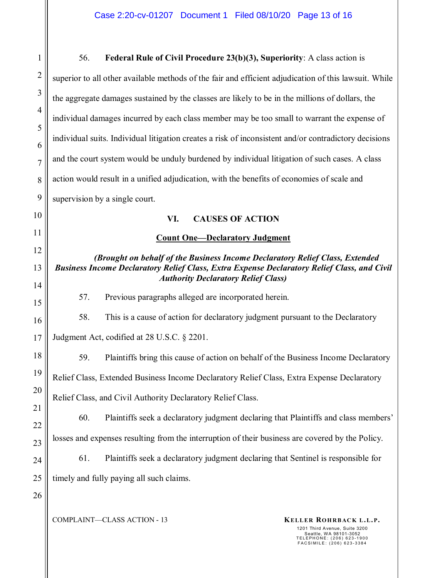COMPLAINT—CLASS ACTION - 13 **KELLER ROHRBACK L.L.P.** 1201 Third Avenue, Suite 3200 Seattle, WA 98101-3052 TELEPHONE: (206) 623-1900 FACSIMILE: (206) 623-3384 1 2 3 4 5 6 7 8 9 10 11 12 13 14 15 16 17 18 19 20 21 22 23 24 25 26 56. **Federal Rule of Civil Procedure 23(b)(3), Superiority**: A class action is superior to all other available methods of the fair and efficient adjudication of this lawsuit. While the aggregate damages sustained by the classes are likely to be in the millions of dollars, the individual damages incurred by each class member may be too small to warrant the expense of individual suits. Individual litigation creates a risk of inconsistent and/or contradictory decisions and the court system would be unduly burdened by individual litigation of such cases. A class action would result in a unified adjudication, with the benefits of economies of scale and supervision by a single court. **VI. CAUSES OF ACTION Count One—Declaratory Judgment**  *(Brought on behalf of the Business Income Declaratory Relief Class, Extended Business Income Declaratory Relief Class, Extra Expense Declaratory Relief Class, and Civil Authority Declaratory Relief Class)*  57. Previous paragraphs alleged are incorporated herein. 58. This is a cause of action for declaratory judgment pursuant to the Declaratory Judgment Act, codified at 28 U.S.C. § 2201. 59. Plaintiffs bring this cause of action on behalf of the Business Income Declaratory Relief Class, Extended Business Income Declaratory Relief Class, Extra Expense Declaratory Relief Class, and Civil Authority Declaratory Relief Class. 60. Plaintiffs seek a declaratory judgment declaring that Plaintiffs and class members' losses and expenses resulting from the interruption of their business are covered by the Policy. 61. Plaintiffs seek a declaratory judgment declaring that Sentinel is responsible for timely and fully paying all such claims.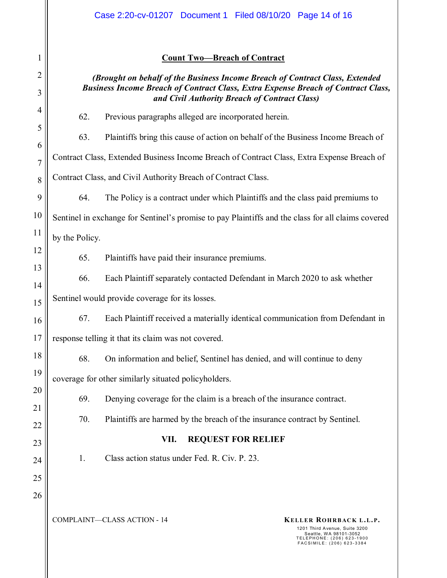### **Count Two—Breach of Contract**

# *(Brought on behalf of the Business Income Breach of Contract Class, Extended Business Income Breach of Contract Class, Extra Expense Breach of Contract Class, and Civil Authority Breach of Contract Class)*

62. Previous paragraphs alleged are incorporated herein.

63. Plaintiffs bring this cause of action on behalf of the Business Income Breach of Contract Class, Extended Business Income Breach of Contract Class, Extra Expense Breach of Contract Class, and Civil Authority Breach of Contract Class.

64. The Policy is a contract under which Plaintiffs and the class paid premiums to Sentinel in exchange for Sentinel's promise to pay Plaintiffs and the class for all claims covered by the Policy.

65. Plaintiffs have paid their insurance premiums.

66. Each Plaintiff separately contacted Defendant in March 2020 to ask whether

Sentinel would provide coverage for its losses.

1

2

3

4

5

6

7

8

9

10

11

12

13

14

15

16

17

18

19

20

21

22

23

24

25

26

67. Each Plaintiff received a materially identical communication from Defendant in response telling it that its claim was not covered.

68. On information and belief, Sentinel has denied, and will continue to deny coverage for other similarly situated policyholders.

69. Denying coverage for the claim is a breach of the insurance contract.

70. Plaintiffs are harmed by the breach of the insurance contract by Sentinel.

# **VII. REQUEST FOR RELIEF**

1. Class action status under Fed. R. Civ. P. 23.

COMPLAINT—CLASS ACTION - 14 **KELLER ROHRBACK L.L.P.**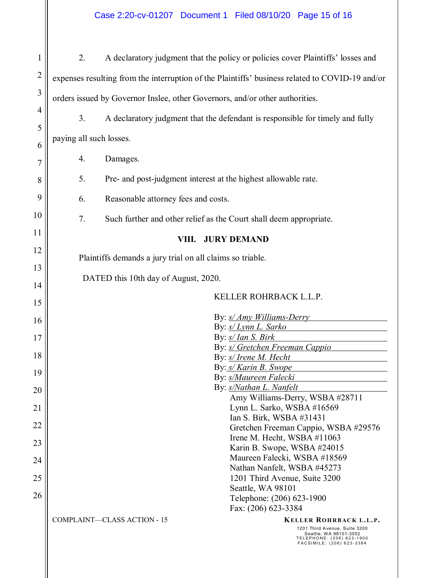| 1              | 2.                                                                                              | A declaratory judgment that the policy or policies cover Plaintiffs' losses and                                                                                                          |  |
|----------------|-------------------------------------------------------------------------------------------------|------------------------------------------------------------------------------------------------------------------------------------------------------------------------------------------|--|
| $\overline{2}$ | expenses resulting from the interruption of the Plaintiffs' business related to COVID-19 and/or |                                                                                                                                                                                          |  |
| 3              | orders issued by Governor Inslee, other Governors, and/or other authorities.                    |                                                                                                                                                                                          |  |
| $\overline{4}$ | 3.                                                                                              | A declaratory judgment that the defendant is responsible for timely and fully                                                                                                            |  |
| 5              | paying all such losses.                                                                         |                                                                                                                                                                                          |  |
| 6              |                                                                                                 |                                                                                                                                                                                          |  |
| 7              | 4.                                                                                              | Damages.                                                                                                                                                                                 |  |
| 8              | 5.                                                                                              | Pre- and post-judgment interest at the highest allowable rate.                                                                                                                           |  |
| 9              | 6.                                                                                              | Reasonable attorney fees and costs.                                                                                                                                                      |  |
| 10             | 7.                                                                                              | Such further and other relief as the Court shall deem appropriate.                                                                                                                       |  |
| 11             | <b>JURY DEMAND</b><br>VIII.                                                                     |                                                                                                                                                                                          |  |
| 12             | Plaintiffs demands a jury trial on all claims so triable.                                       |                                                                                                                                                                                          |  |
| 13             |                                                                                                 |                                                                                                                                                                                          |  |
| 14             | DATED this 10th day of August, 2020.                                                            |                                                                                                                                                                                          |  |
| 15             |                                                                                                 | KELLER ROHRBACK L.L.P.                                                                                                                                                                   |  |
| 16             |                                                                                                 | By: <i>s/ Amy Williams-Derry</i>                                                                                                                                                         |  |
|                |                                                                                                 | By: s/ Lynn L. Sarko                                                                                                                                                                     |  |
| 17             |                                                                                                 | By: s/ Ian S. Birk                                                                                                                                                                       |  |
| 18             |                                                                                                 | By: <i>s/ Gretchen Freeman Cappio</i>                                                                                                                                                    |  |
|                |                                                                                                 | By: s/ Irene M. Hecht<br>By: s/ Karin B. Swope                                                                                                                                           |  |
| 19             |                                                                                                 | By: s/Maureen Falecki                                                                                                                                                                    |  |
| 20             |                                                                                                 | By: s/Nathan L. Nanfelt                                                                                                                                                                  |  |
|                |                                                                                                 | Amy Williams-Derry, WSBA #28711                                                                                                                                                          |  |
| 21             |                                                                                                 | Lynn L. Sarko, WSBA #16569                                                                                                                                                               |  |
| 22             |                                                                                                 | Ian S. Birk, WSBA #31431<br>Gretchen Freeman Cappio, WSBA #29576                                                                                                                         |  |
|                |                                                                                                 | Irene M. Hecht, WSBA #11063                                                                                                                                                              |  |
| 23             |                                                                                                 | Karin B. Swope, WSBA #24015                                                                                                                                                              |  |
| 24             |                                                                                                 | Maureen Falecki, WSBA #18569                                                                                                                                                             |  |
|                |                                                                                                 | Nathan Nanfelt, WSBA #45273                                                                                                                                                              |  |
| 25             |                                                                                                 | 1201 Third Avenue, Suite 3200                                                                                                                                                            |  |
| 26             |                                                                                                 | Seattle, WA 98101<br>Telephone: (206) 623-1900                                                                                                                                           |  |
|                |                                                                                                 | Fax: (206) 623-3384                                                                                                                                                                      |  |
|                |                                                                                                 | <b>COMPLAINT-CLASS ACTION - 15</b><br><b>KELLER ROHRBACK L.L.P.</b><br>1201 Third Avenue, Suite 3200<br>Seattle, WA 98101-3052<br>TELEPHONE: (206) 623-1900<br>FACSIMILE: (206) 623-3384 |  |